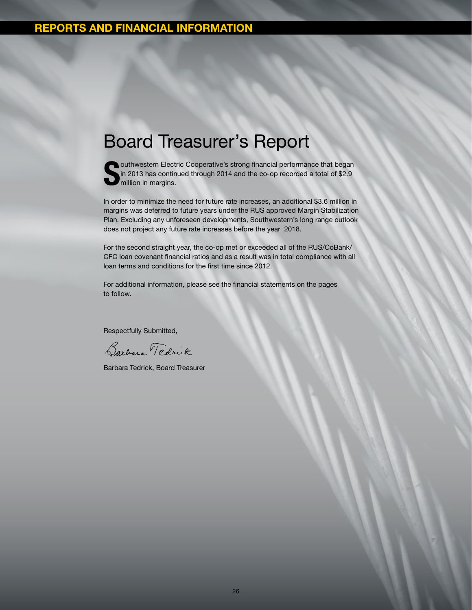## Board Treasurer's Report



outhwestern Electric Cooperative's strong financial performance that began in 2013 has continued through 2014 and the co-op recorded a total of \$2.9 million in margins.

In order to minimize the need for future rate increases, an additional \$3.6 million in margins was deferred to future years under the RUS approved Margin Stabilization Plan. Excluding any unforeseen developments, Southwestern's long range outlook does not project any future rate increases before the year 2018.

For the second straight year, the co-op met or exceeded all of the RUS/CoBank/ CFC loan covenant financial ratios and as a result was in total compliance with all loan terms and conditions for the first time since 2012.

For additional information, please see the financial statements on the pages to follow.

Respectfully Submitted,

Barbara Tedrick

Barbara Tedrick, Board Treasurer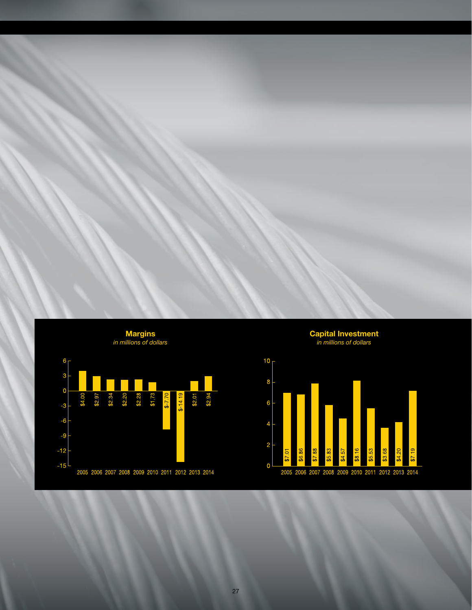

Capital Investment *in millions of dollars*

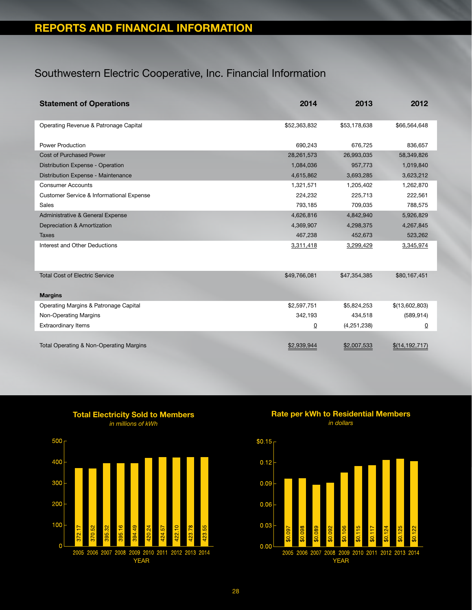## Southwestern Electric Cooperative, Inc. Financial Information

| <b>Statement of Operations</b>           | 2014            | 2013         | 2012             |
|------------------------------------------|-----------------|--------------|------------------|
| Operating Revenue & Patronage Capital    | \$52,363,832    | \$53,178,638 | \$66,564,648     |
| <b>Power Production</b>                  | 690.243         | 676.725      | 836,657          |
| <b>Cost of Purchased Power</b>           | 28,261,573      | 26,993,035   | 58,349,826       |
| Distribution Expense - Operation         | 1,084,036       | 957,773      | 1,019,840        |
| Distribution Expense - Maintenance       | 4,615,862       | 3,693,285    | 3,623,212        |
| <b>Consumer Accounts</b>                 | 1,321,571       | 1,205,402    | 1,262,870        |
| Customer Service & Informational Expense | 224,232         | 225,713      | 222,561          |
| <b>Sales</b>                             | 793,185         | 709,035      | 788,575          |
| Administrative & General Expense         | 4,626,816       | 4,842,940    | 5,926,829        |
| Depreciation & Amortization              | 4,369,907       | 4,298,375    | 4,267,845        |
| <b>Taxes</b>                             | 467,238         | 452,673      | 523,262          |
| Interest and Other Deductions            | 3,311,418       | 3,299,429    | 3,345,974        |
| <b>Total Cost of Electric Service</b>    | \$49,766,081    | \$47,354,385 | \$80,167,451     |
| <b>Margins</b>                           |                 |              |                  |
| Operating Margins & Patronage Capital    | \$2,597,751     | \$5,824,253  | \$(13,602,803)   |
| Non-Operating Margins                    | 342,193         | 434,518      | (589, 914)       |
| <b>Extraordinary Items</b>               | $\underline{0}$ | (4,251,238)  | $\overline{0}$   |
| Total Operating & Non-Operating Margins  | \$2,939,944     | \$2,007,533  | \$(14, 192, 717) |

Total Electricity Sold to Members *in millions of kWh*



Rate per kWh to Residential Members *in dollars*